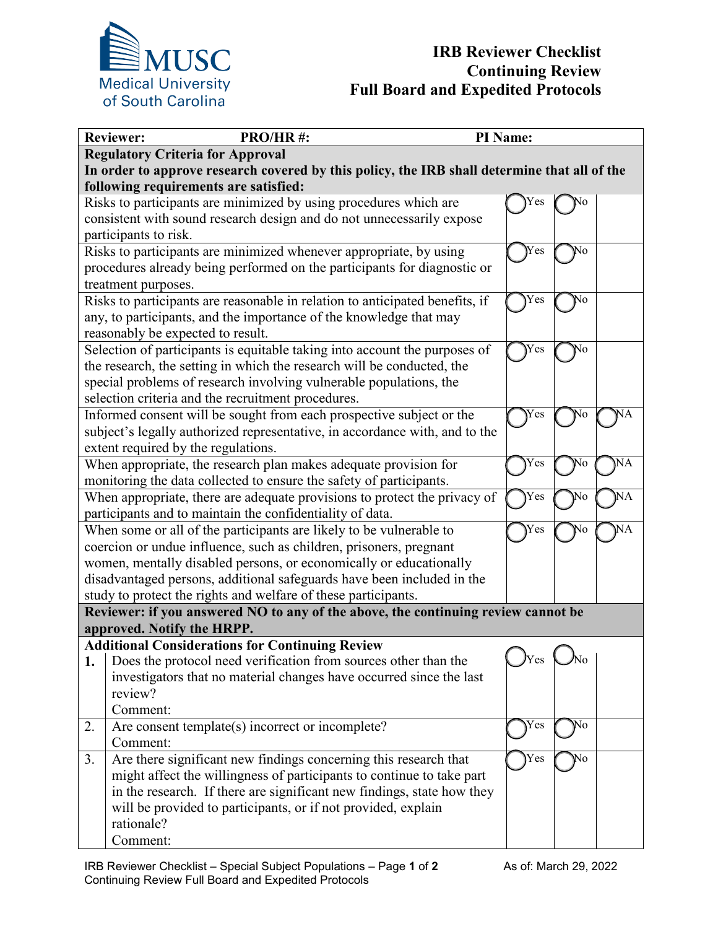

| <b>Reviewer:</b><br>PRO/HR#:                                                                                                           |                                                                            | PI Name: |    |  |  |
|----------------------------------------------------------------------------------------------------------------------------------------|----------------------------------------------------------------------------|----------|----|--|--|
| <b>Regulatory Criteria for Approval</b>                                                                                                |                                                                            |          |    |  |  |
| In order to approve research covered by this policy, the IRB shall determine that all of the                                           |                                                                            |          |    |  |  |
| following requirements are satisfied:                                                                                                  |                                                                            |          |    |  |  |
|                                                                                                                                        | Risks to participants are minimized by using procedures which are          |          |    |  |  |
|                                                                                                                                        | consistent with sound research design and do not unnecessarily expose      |          |    |  |  |
|                                                                                                                                        | participants to risk.                                                      |          |    |  |  |
|                                                                                                                                        | Risks to participants are minimized whenever appropriate, by using         | Yes      | No |  |  |
|                                                                                                                                        | procedures already being performed on the participants for diagnostic or   |          |    |  |  |
|                                                                                                                                        | treatment purposes.                                                        |          |    |  |  |
| Risks to participants are reasonable in relation to anticipated benefits, if<br>Yes<br>No                                              |                                                                            |          |    |  |  |
| any, to participants, and the importance of the knowledge that may                                                                     |                                                                            |          |    |  |  |
|                                                                                                                                        | reasonably be expected to result.                                          |          |    |  |  |
|                                                                                                                                        | Selection of participants is equitable taking into account the purposes of | Yes      | Ńо |  |  |
| the research, the setting in which the research will be conducted, the                                                                 |                                                                            |          |    |  |  |
|                                                                                                                                        | special problems of research involving vulnerable populations, the         |          |    |  |  |
|                                                                                                                                        | selection criteria and the recruitment procedures.                         |          |    |  |  |
|                                                                                                                                        | Informed consent will be sought from each prospective subject or the       | Ýes      | N٥ |  |  |
| subject's legally authorized representative, in accordance with, and to the                                                            |                                                                            |          |    |  |  |
| extent required by the regulations.                                                                                                    |                                                                            |          |    |  |  |
| Yes<br>NA<br>When appropriate, the research plan makes adequate provision for<br>No                                                    |                                                                            |          |    |  |  |
| monitoring the data collected to ensure the safety of participants.                                                                    |                                                                            |          |    |  |  |
| $\overline{\text{NA}}$<br>$\mathrm{\overline{Y}es}$<br>When appropriate, there are adequate provisions to protect the privacy of<br>No |                                                                            |          |    |  |  |
| participants and to maintain the confidentiality of data.                                                                              |                                                                            |          |    |  |  |
| Yes<br>When some or all of the participants are likely to be vulnerable to<br>NA                                                       |                                                                            |          |    |  |  |
| coercion or undue influence, such as children, prisoners, pregnant                                                                     |                                                                            |          |    |  |  |
| women, mentally disabled persons, or economically or educationally                                                                     |                                                                            |          |    |  |  |
| disadvantaged persons, additional safeguards have been included in the                                                                 |                                                                            |          |    |  |  |
| study to protect the rights and welfare of these participants.                                                                         |                                                                            |          |    |  |  |
| Reviewer: if you answered NO to any of the above, the continuing review cannot be                                                      |                                                                            |          |    |  |  |
|                                                                                                                                        | approved. Notify the HRPP.                                                 |          |    |  |  |
| <b>Additional Considerations for Continuing Review</b>                                                                                 |                                                                            |          |    |  |  |
| 1.                                                                                                                                     | Does the protocol need verification from sources other than the            | )Yes     | ٨o |  |  |
|                                                                                                                                        | investigators that no material changes have occurred since the last        |          |    |  |  |
|                                                                                                                                        | review?                                                                    |          |    |  |  |
|                                                                                                                                        | Comment:                                                                   |          |    |  |  |
| 2.                                                                                                                                     | Are consent template(s) incorrect or incomplete?                           | Yes      | No |  |  |
|                                                                                                                                        | Comment:                                                                   |          |    |  |  |
| 3.                                                                                                                                     | Are there significant new findings concerning this research that           | Yes      | No |  |  |
|                                                                                                                                        | might affect the willingness of participants to continue to take part      |          |    |  |  |
|                                                                                                                                        | in the research. If there are significant new findings, state how they     |          |    |  |  |
|                                                                                                                                        | will be provided to participants, or if not provided, explain              |          |    |  |  |
|                                                                                                                                        | rationale?                                                                 |          |    |  |  |
|                                                                                                                                        | Comment:                                                                   |          |    |  |  |